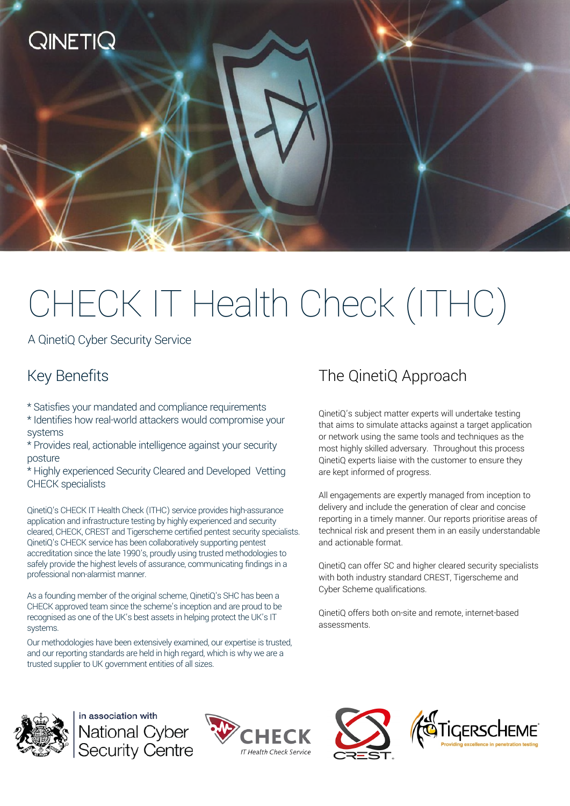

A QinetiQ Cyber Security Service

## Key Benefits

**QINETIC** 

\* Satisfies your mandated and compliance requirements

\* Identifies how real-world attackers would compromise your systems

\* Provides real, actionable intelligence against your security posture

\* Highly experienced Security Cleared and Developed Vetting CHECK specialists

QinetiQ's CHECK IT Health Check (ITHC) service provides high-assurance application and infrastructure testing by highly experienced and security cleared, CHECK, CREST and Tigerscheme certified pentest security specialists. QinetiQ's CHECK service has been collaboratively supporting pentest accreditation since the late 1990's, proudly using trusted methodologies to safely provide the highest levels of assurance, communicating findings in a professional non-alarmist manner.

As a founding member of the original scheme, QinetiQ's SHC has been a CHECK approved team since the scheme's inception and are proud to be recognised as one of the UK's best assets in helping protect the UK's IT systems.

Our methodologies have been extensively examined, our expertise is trusted, and our reporting standards are held in high regard, which is why we are a trusted supplier to UK government entities of all sizes.

## The QinetiQ Approach

QinetiQ's subject matter experts will undertake testing that aims to simulate attacks against a target application or network using the same tools and techniques as the most highly skilled adversary. Throughout this process QinetiQ experts liaise with the customer to ensure they are kept informed of progress.

All engagements are expertly managed from inception to delivery and include the generation of clear and concise reporting in a timely manner. Our reports prioritise areas of technical risk and present them in an easily understandable and actionable format.

QinetiQ can offer SC and higher cleared security specialists with both industry standard CREST, Tigerscheme and Cyber Scheme qualifications.

QinetiQ offers both on-site and remote, internet-based assessments.



in association with National Cyber<br>Security Centre